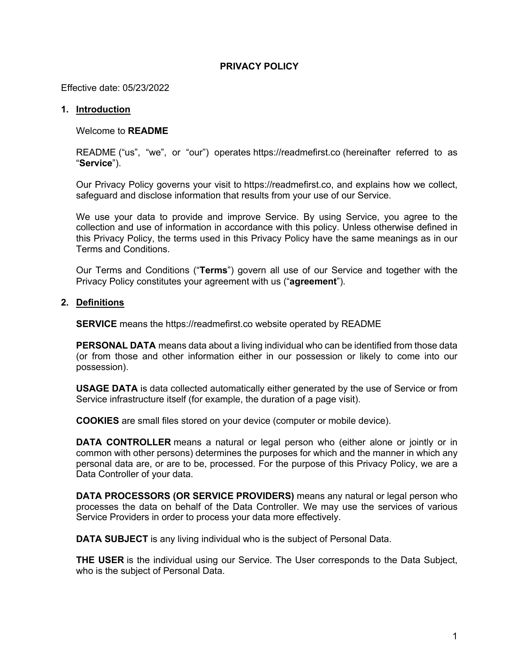# **PRIVACY POLICY**

Effective date: 05/23/2022

# **1. Introduction**

Welcome to **README**

README ("us", "we", or "our") operates https://readmefirst.co (hereinafter referred to as "**Service**").

Our Privacy Policy governs your visit to https://readmefirst.co, and explains how we collect, safeguard and disclose information that results from your use of our Service.

We use your data to provide and improve Service. By using Service, you agree to the collection and use of information in accordance with this policy. Unless otherwise defined in this Privacy Policy, the terms used in this Privacy Policy have the same meanings as in our Terms and Conditions.

Our Terms and Conditions ("**Terms**") govern all use of our Service and together with the Privacy Policy constitutes your agreement with us ("**agreement**").

## **2. Definitions**

**SERVICE** means the https://readmefirst.co website operated by README

**PERSONAL DATA** means data about a living individual who can be identified from those data (or from those and other information either in our possession or likely to come into our possession).

**USAGE DATA** is data collected automatically either generated by the use of Service or from Service infrastructure itself (for example, the duration of a page visit).

**COOKIES** are small files stored on your device (computer or mobile device).

**DATA CONTROLLER** means a natural or legal person who (either alone or jointly or in common with other persons) determines the purposes for which and the manner in which any personal data are, or are to be, processed. For the purpose of this Privacy Policy, we are a Data Controller of your data.

**DATA PROCESSORS (OR SERVICE PROVIDERS)** means any natural or legal person who processes the data on behalf of the Data Controller. We may use the services of various Service Providers in order to process your data more effectively.

**DATA SUBJECT** is any living individual who is the subject of Personal Data.

**THE USER** is the individual using our Service. The User corresponds to the Data Subject, who is the subject of Personal Data.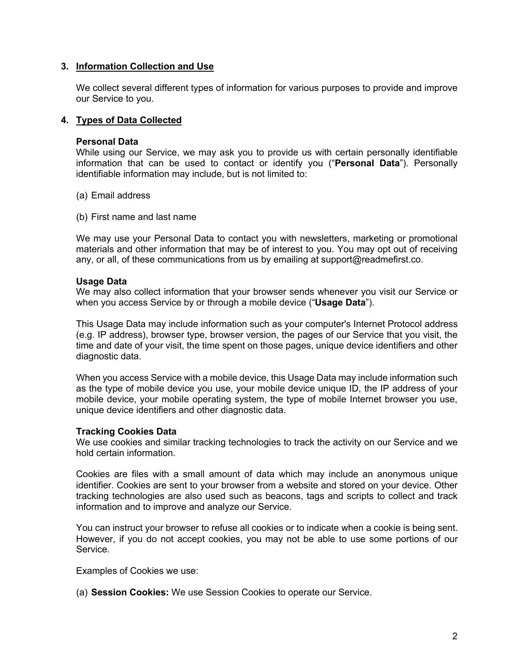## **3. Information Collection and Use**

We collect several different types of information for various purposes to provide and improve our Service to you.

## **4. Types of Data Collected**

### **Personal Data**

While using our Service, we may ask you to provide us with certain personally identifiable information that can be used to contact or identify you ("**Personal Data**"). Personally identifiable information may include, but is not limited to:

- (a) Email address
- (b) First name and last name

We may use your Personal Data to contact you with newsletters, marketing or promotional materials and other information that may be of interest to you. You may opt out of receiving any, or all, of these communications from us by emailing at support@readmefirst.co.

#### **Usage Data**

We may also collect information that your browser sends whenever you visit our Service or when you access Service by or through a mobile device ("**Usage Data**").

This Usage Data may include information such as your computer's Internet Protocol address (e.g. IP address), browser type, browser version, the pages of our Service that you visit, the time and date of your visit, the time spent on those pages, unique device identifiers and other diagnostic data.

When you access Service with a mobile device, this Usage Data may include information such as the type of mobile device you use, your mobile device unique ID, the IP address of your mobile device, your mobile operating system, the type of mobile Internet browser you use, unique device identifiers and other diagnostic data.

### **Tracking Cookies Data**

We use cookies and similar tracking technologies to track the activity on our Service and we hold certain information.

Cookies are files with a small amount of data which may include an anonymous unique identifier. Cookies are sent to your browser from a website and stored on your device. Other tracking technologies are also used such as beacons, tags and scripts to collect and track information and to improve and analyze our Service.

You can instruct your browser to refuse all cookies or to indicate when a cookie is being sent. However, if you do not accept cookies, you may not be able to use some portions of our Service.

Examples of Cookies we use:

(a) **Session Cookies:** We use Session Cookies to operate our Service.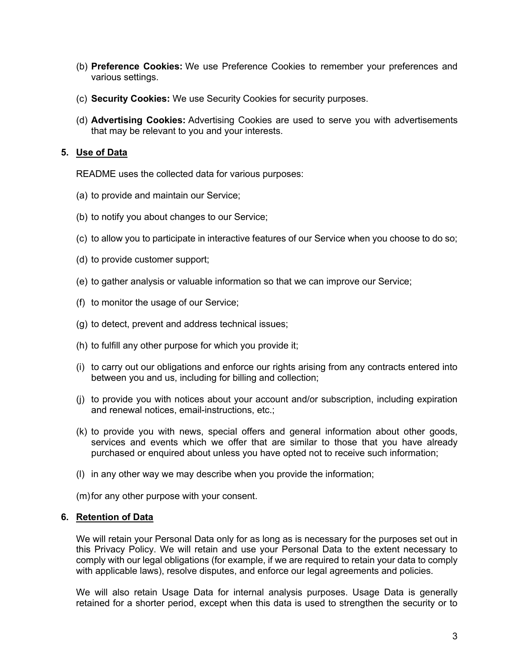- (b) **Preference Cookies:** We use Preference Cookies to remember your preferences and various settings.
- (c) **Security Cookies:** We use Security Cookies for security purposes.
- (d) **Advertising Cookies:** Advertising Cookies are used to serve you with advertisements that may be relevant to you and your interests.

# **5. Use of Data**

README uses the collected data for various purposes:

- (a) to provide and maintain our Service;
- (b) to notify you about changes to our Service;
- (c) to allow you to participate in interactive features of our Service when you choose to do so;
- (d) to provide customer support;
- (e) to gather analysis or valuable information so that we can improve our Service;
- (f) to monitor the usage of our Service;
- (g) to detect, prevent and address technical issues;
- (h) to fulfill any other purpose for which you provide it;
- (i) to carry out our obligations and enforce our rights arising from any contracts entered into between you and us, including for billing and collection;
- (j) to provide you with notices about your account and/or subscription, including expiration and renewal notices, email-instructions, etc.;
- (k) to provide you with news, special offers and general information about other goods, services and events which we offer that are similar to those that you have already purchased or enquired about unless you have opted not to receive such information;
- (l) in any other way we may describe when you provide the information;
- (m)for any other purpose with your consent.

### **6. Retention of Data**

We will retain your Personal Data only for as long as is necessary for the purposes set out in this Privacy Policy. We will retain and use your Personal Data to the extent necessary to comply with our legal obligations (for example, if we are required to retain your data to comply with applicable laws), resolve disputes, and enforce our legal agreements and policies.

We will also retain Usage Data for internal analysis purposes. Usage Data is generally retained for a shorter period, except when this data is used to strengthen the security or to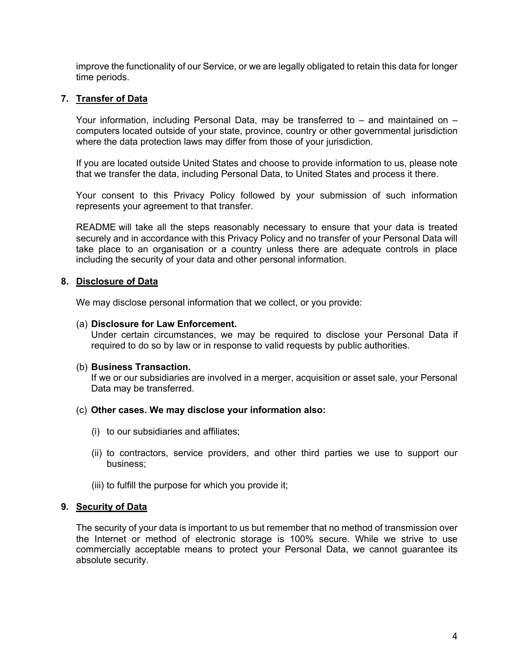improve the functionality of our Service, or we are legally obligated to retain this data for longer time periods.

# **7. Transfer of Data**

Your information, including Personal Data, may be transferred to – and maintained on – computers located outside of your state, province, country or other governmental jurisdiction where the data protection laws may differ from those of your jurisdiction.

If you are located outside United States and choose to provide information to us, please note that we transfer the data, including Personal Data, to United States and process it there.

Your consent to this Privacy Policy followed by your submission of such information represents your agreement to that transfer.

README will take all the steps reasonably necessary to ensure that your data is treated securely and in accordance with this Privacy Policy and no transfer of your Personal Data will take place to an organisation or a country unless there are adequate controls in place including the security of your data and other personal information.

## **8. Disclosure of Data**

We may disclose personal information that we collect, or you provide:

### (a) **Disclosure for Law Enforcement.**

Under certain circumstances, we may be required to disclose your Personal Data if required to do so by law or in response to valid requests by public authorities.

### (b) **Business Transaction.**

If we or our subsidiaries are involved in a merger, acquisition or asset sale, your Personal Data may be transferred.

### (c) **Other cases. We may disclose your information also:**

- (i) to our subsidiaries and affiliates;
- (ii) to contractors, service providers, and other third parties we use to support our business;
- (iii) to fulfill the purpose for which you provide it;

# **9. Security of Data**

The security of your data is important to us but remember that no method of transmission over the Internet or method of electronic storage is 100% secure. While we strive to use commercially acceptable means to protect your Personal Data, we cannot guarantee its absolute security.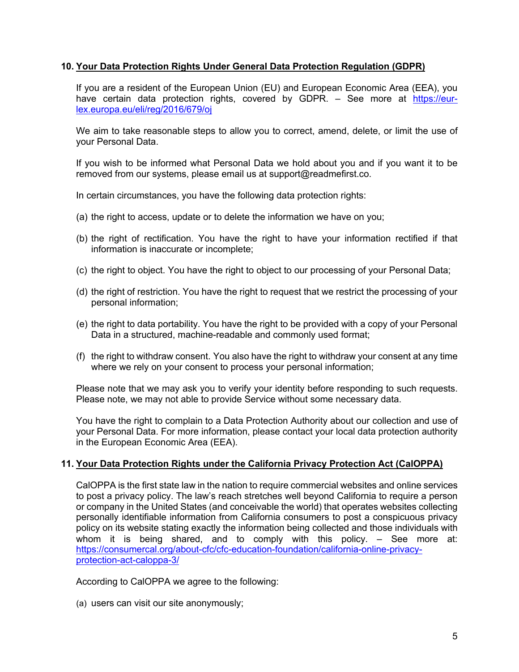# **10. Your Data Protection Rights Under General Data Protection Regulation (GDPR)**

If you are a resident of the European Union (EU) and European Economic Area (EEA), you have certain data protection rights, covered by GDPR. - See more at https://eurlex.europa.eu/eli/reg/2016/679/oj

We aim to take reasonable steps to allow you to correct, amend, delete, or limit the use of your Personal Data.

If you wish to be informed what Personal Data we hold about you and if you want it to be removed from our systems, please email us at support@readmefirst.co.

In certain circumstances, you have the following data protection rights:

- (a) the right to access, update or to delete the information we have on you;
- (b) the right of rectification. You have the right to have your information rectified if that information is inaccurate or incomplete;
- (c) the right to object. You have the right to object to our processing of your Personal Data;
- (d) the right of restriction. You have the right to request that we restrict the processing of your personal information;
- (e) the right to data portability. You have the right to be provided with a copy of your Personal Data in a structured, machine-readable and commonly used format;
- (f) the right to withdraw consent. You also have the right to withdraw your consent at any time where we rely on your consent to process your personal information;

Please note that we may ask you to verify your identity before responding to such requests. Please note, we may not able to provide Service without some necessary data.

You have the right to complain to a Data Protection Authority about our collection and use of your Personal Data. For more information, please contact your local data protection authority in the European Economic Area (EEA).

# **11. Your Data Protection Rights under the California Privacy Protection Act (CalOPPA)**

CalOPPA is the first state law in the nation to require commercial websites and online services to post a privacy policy. The law's reach stretches well beyond California to require a person or company in the United States (and conceivable the world) that operates websites collecting personally identifiable information from California consumers to post a conspicuous privacy policy on its website stating exactly the information being collected and those individuals with whom it is being shared, and to comply with this policy. – See more at: https://consumercal.org/about-cfc/cfc-education-foundation/california-online-privacyprotection-act-caloppa-3/

According to CalOPPA we agree to the following:

(a) users can visit our site anonymously;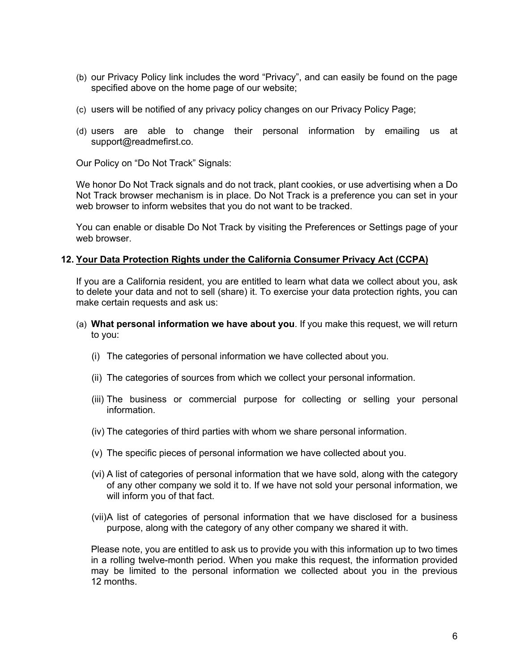- (b) our Privacy Policy link includes the word "Privacy", and can easily be found on the page specified above on the home page of our website;
- (c) users will be notified of any privacy policy changes on our Privacy Policy Page;
- (d) users are able to change their personal information by emailing us at support@readmefirst.co.

Our Policy on "Do Not Track" Signals:

We honor Do Not Track signals and do not track, plant cookies, or use advertising when a Do Not Track browser mechanism is in place. Do Not Track is a preference you can set in your web browser to inform websites that you do not want to be tracked.

You can enable or disable Do Not Track by visiting the Preferences or Settings page of your web browser.

## **12. Your Data Protection Rights under the California Consumer Privacy Act (CCPA)**

If you are a California resident, you are entitled to learn what data we collect about you, ask to delete your data and not to sell (share) it. To exercise your data protection rights, you can make certain requests and ask us:

- (a) **What personal information we have about you**. If you make this request, we will return to you:
	- (i) The categories of personal information we have collected about you.
	- (ii) The categories of sources from which we collect your personal information.
	- (iii) The business or commercial purpose for collecting or selling your personal information.
	- (iv) The categories of third parties with whom we share personal information.
	- (v) The specific pieces of personal information we have collected about you.
	- (vi) A list of categories of personal information that we have sold, along with the category of any other company we sold it to. If we have not sold your personal information, we will inform you of that fact.
	- (vii)A list of categories of personal information that we have disclosed for a business purpose, along with the category of any other company we shared it with.

Please note, you are entitled to ask us to provide you with this information up to two times in a rolling twelve-month period. When you make this request, the information provided may be limited to the personal information we collected about you in the previous 12 months.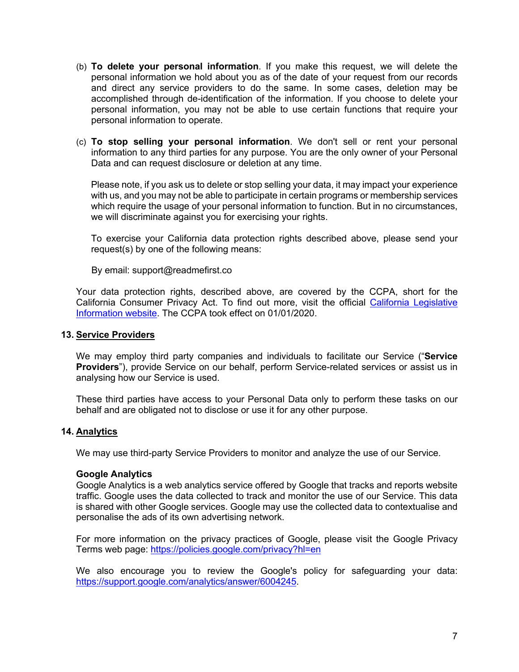- (b) **To delete your personal information**. If you make this request, we will delete the personal information we hold about you as of the date of your request from our records and direct any service providers to do the same. In some cases, deletion may be accomplished through de-identification of the information. If you choose to delete your personal information, you may not be able to use certain functions that require your personal information to operate.
- (c) **To stop selling your personal information**. We don't sell or rent your personal information to any third parties for any purpose. You are the only owner of your Personal Data and can request disclosure or deletion at any time.

Please note, if you ask us to delete or stop selling your data, it may impact your experience with us, and you may not be able to participate in certain programs or membership services which require the usage of your personal information to function. But in no circumstances, we will discriminate against you for exercising your rights.

To exercise your California data protection rights described above, please send your request(s) by one of the following means:

By email: support@readmefirst.co

Your data protection rights, described above, are covered by the CCPA, short for the California Consumer Privacy Act. To find out more, visit the official California Legislative Information website. The CCPA took effect on 01/01/2020.

## **13. Service Providers**

We may employ third party companies and individuals to facilitate our Service ("**Service Providers**"), provide Service on our behalf, perform Service-related services or assist us in analysing how our Service is used.

These third parties have access to your Personal Data only to perform these tasks on our behalf and are obligated not to disclose or use it for any other purpose.

# **14. Analytics**

We may use third-party Service Providers to monitor and analyze the use of our Service.

### **Google Analytics**

Google Analytics is a web analytics service offered by Google that tracks and reports website traffic. Google uses the data collected to track and monitor the use of our Service. This data is shared with other Google services. Google may use the collected data to contextualise and personalise the ads of its own advertising network.

For more information on the privacy practices of Google, please visit the Google Privacy Terms web page: https://policies.google.com/privacy?hl=en

We also encourage you to review the Google's policy for safeguarding your data: https://support.google.com/analytics/answer/6004245.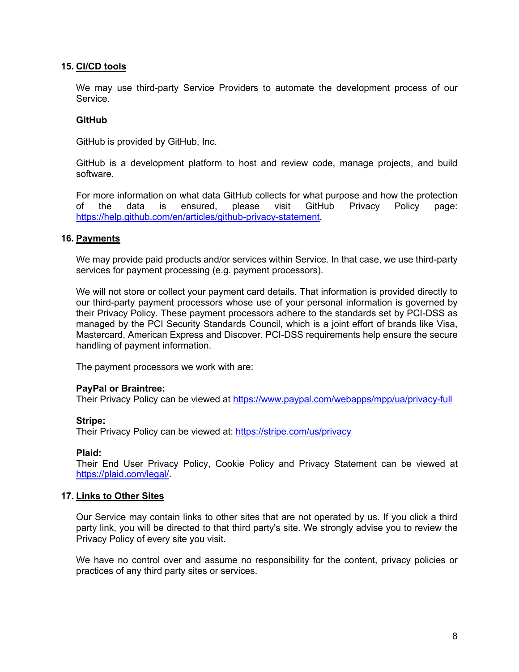## **15. CI/CD tools**

We may use third-party Service Providers to automate the development process of our Service.

## **GitHub**

GitHub is provided by GitHub, Inc.

GitHub is a development platform to host and review code, manage projects, and build software.

For more information on what data GitHub collects for what purpose and how the protection of the data is ensured, please visit GitHub Privacy Policy page: https://help.github.com/en/articles/github-privacy-statement.

## **16. Payments**

We may provide paid products and/or services within Service. In that case, we use third-party services for payment processing (e.g. payment processors).

We will not store or collect your payment card details. That information is provided directly to our third-party payment processors whose use of your personal information is governed by their Privacy Policy. These payment processors adhere to the standards set by PCI-DSS as managed by the PCI Security Standards Council, which is a joint effort of brands like Visa, Mastercard, American Express and Discover. PCI-DSS requirements help ensure the secure handling of payment information.

The payment processors we work with are:

### **PayPal or Braintree:**

Their Privacy Policy can be viewed at https://www.paypal.com/webapps/mpp/ua/privacy-full

### **Stripe:**

Their Privacy Policy can be viewed at: https://stripe.com/us/privacy

### **Plaid:**

Their End User Privacy Policy, Cookie Policy and Privacy Statement can be viewed at https://plaid.com/legal/.

### **17. Links to Other Sites**

Our Service may contain links to other sites that are not operated by us. If you click a third party link, you will be directed to that third party's site. We strongly advise you to review the Privacy Policy of every site you visit.

We have no control over and assume no responsibility for the content, privacy policies or practices of any third party sites or services.